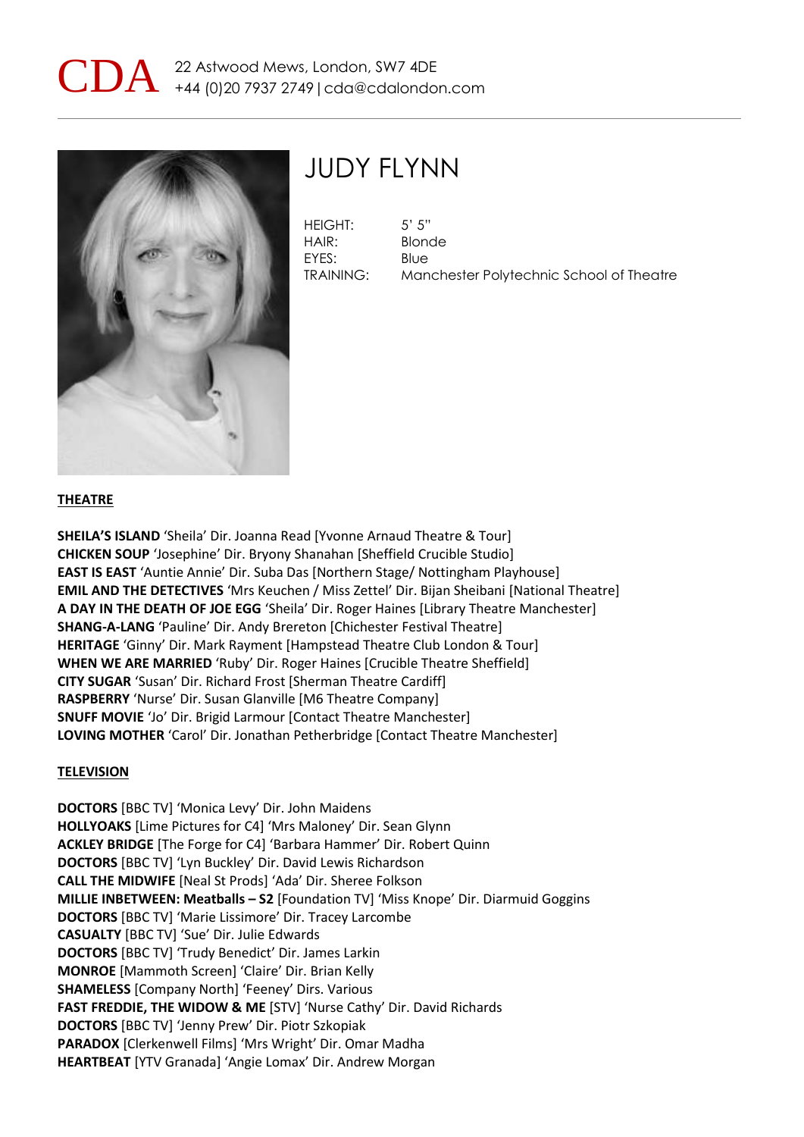



## JUDY FLYNN

HEIGHT: 5' 5" HAIR: Blonde EYES: Blue

TRAINING: Manchester Polytechnic School of Theatre

### **THEATRE**

**SHEILA'S ISLAND** 'Sheila' Dir. Joanna Read [Yvonne Arnaud Theatre & Tour] **CHICKEN SOUP** 'Josephine' Dir. Bryony Shanahan [Sheffield Crucible Studio] **EAST IS EAST** 'Auntie Annie' Dir. Suba Das [Northern Stage/ Nottingham Playhouse] **EMIL AND THE DETECTIVES** 'Mrs Keuchen / Miss Zettel' Dir. Bijan Sheibani [National Theatre] **A DAY IN THE DEATH OF JOE EGG** 'Sheila' Dir. Roger Haines [Library Theatre Manchester] **SHANG-A-LANG** 'Pauline' Dir. Andy Brereton [Chichester Festival Theatre] **HERITAGE** 'Ginny' Dir. Mark Rayment [Hampstead Theatre Club London & Tour] **WHEN WE ARE MARRIED** 'Ruby' Dir. Roger Haines [Crucible Theatre Sheffield] **CITY SUGAR** 'Susan' Dir. Richard Frost [Sherman Theatre Cardiff] **RASPBERRY** 'Nurse' Dir. Susan Glanville [M6 Theatre Company] **SNUFF MOVIE** 'Jo' Dir. Brigid Larmour [Contact Theatre Manchester] **LOVING MOTHER** 'Carol' Dir. Jonathan Petherbridge [Contact Theatre Manchester]

#### **TELEVISION**

**DOCTORS** [BBC TV] 'Monica Levy' Dir. John Maidens **HOLLYOAKS** [Lime Pictures for C4] 'Mrs Maloney' Dir. Sean Glynn **ACKLEY BRIDGE** [The Forge for C4] 'Barbara Hammer' Dir. Robert Quinn **DOCTORS** [BBC TV] 'Lyn Buckley' Dir. David Lewis Richardson **CALL THE MIDWIFE** [Neal St Prods] 'Ada' Dir. Sheree Folkson **MILLIE INBETWEEN: Meatballs – S2** [Foundation TV] 'Miss Knope' Dir. Diarmuid Goggins **DOCTORS** [BBC TV] 'Marie Lissimore' Dir. Tracey Larcombe **CASUALTY** [BBC TV] 'Sue' Dir. Julie Edwards **DOCTORS** [BBC TV] 'Trudy Benedict' Dir. James Larkin **MONROE** [Mammoth Screen] 'Claire' Dir. Brian Kelly **SHAMELESS** [Company North] 'Feeney' Dirs. Various **FAST FREDDIE, THE WIDOW & ME** [STV] 'Nurse Cathy' Dir. David Richards **DOCTORS** [BBC TV] 'Jenny Prew' Dir. Piotr Szkopiak **PARADOX** [Clerkenwell Films] 'Mrs Wright' Dir. Omar Madha **HEARTBEAT** [YTV Granada] 'Angie Lomax' Dir. Andrew Morgan